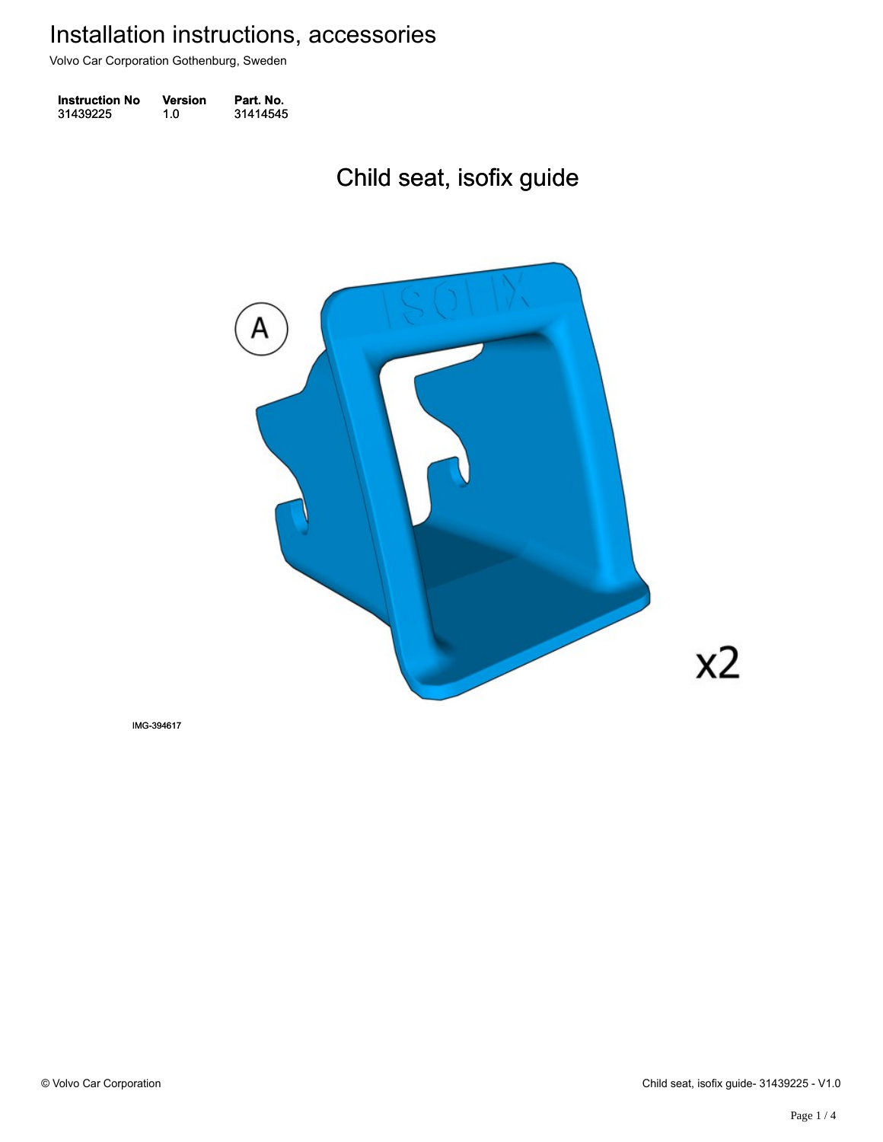Volvo Car Corporation Gothenburg, Sweden

| <b>Instruction No</b> | <b>Version</b> | Part. No. |
|-----------------------|----------------|-----------|
| 31439225              | 1.0            | 31414545  |

# Child seat, isofix guide Child seat, isofix guide



IMG-394617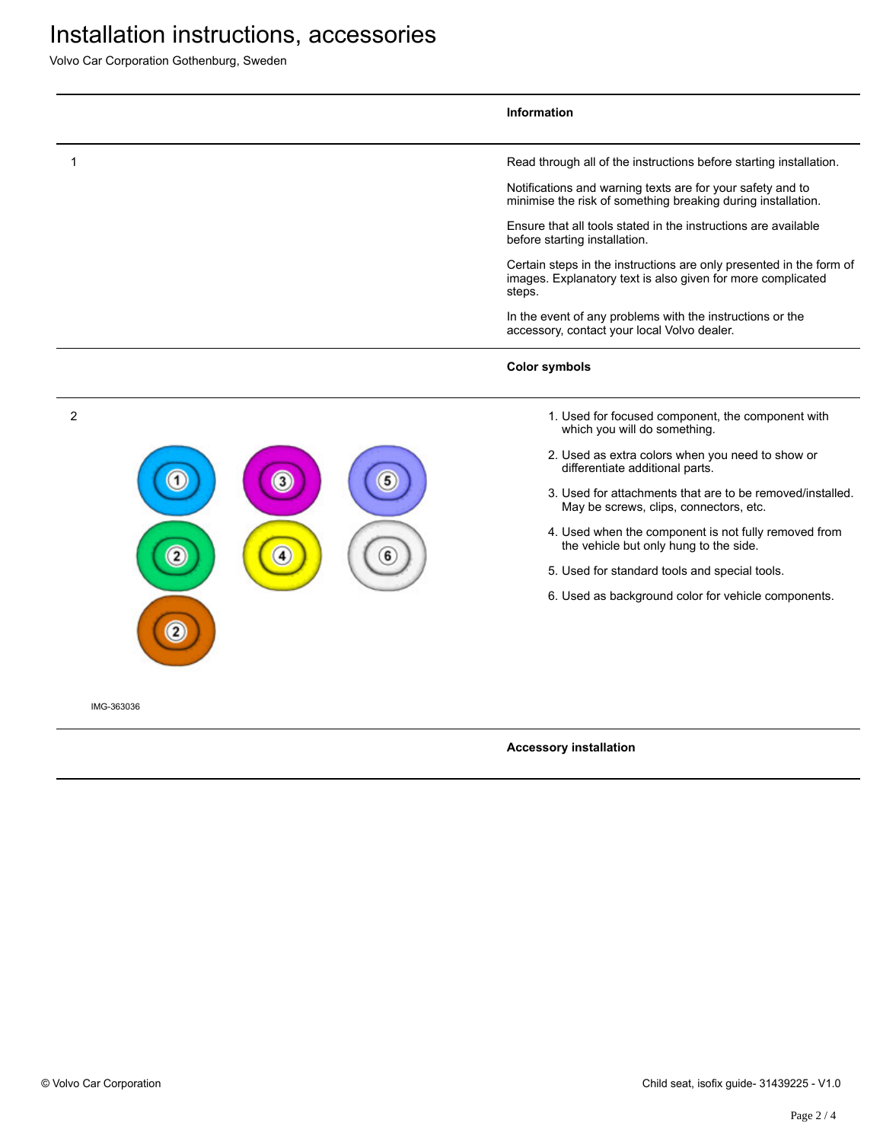# Installation instructions, accessories

Volvo Car Corporation Gothenburg, Sweden

|            | Information                                                                                                                                                                                                                                                                                                                                                                                                                                                                                                                                                                             |
|------------|-----------------------------------------------------------------------------------------------------------------------------------------------------------------------------------------------------------------------------------------------------------------------------------------------------------------------------------------------------------------------------------------------------------------------------------------------------------------------------------------------------------------------------------------------------------------------------------------|
| 1          | Read through all of the instructions before starting installation.<br>Notifications and warning texts are for your safety and to<br>minimise the risk of something breaking during installation.<br>Ensure that all tools stated in the instructions are available<br>before starting installation.<br>Certain steps in the instructions are only presented in the form of<br>images. Explanatory text is also given for more complicated<br>steps.<br>In the event of any problems with the instructions or the<br>accessory, contact your local Volvo dealer.<br><b>Color symbols</b> |
| 2<br>3     | 1. Used for focused component, the component with<br>which you will do something.<br>2. Used as extra colors when you need to show or<br>differentiate additional parts.<br>3. Used for attachments that are to be removed/installed.<br>May be screws, clips, connectors, etc.<br>4. Used when the component is not fully removed from<br>the vehicle but only hung to the side.<br>5. Used for standard tools and special tools.<br>6. Used as background color for vehicle components.                                                                                               |
| IMG-363036 |                                                                                                                                                                                                                                                                                                                                                                                                                                                                                                                                                                                         |

### **Accessory installation**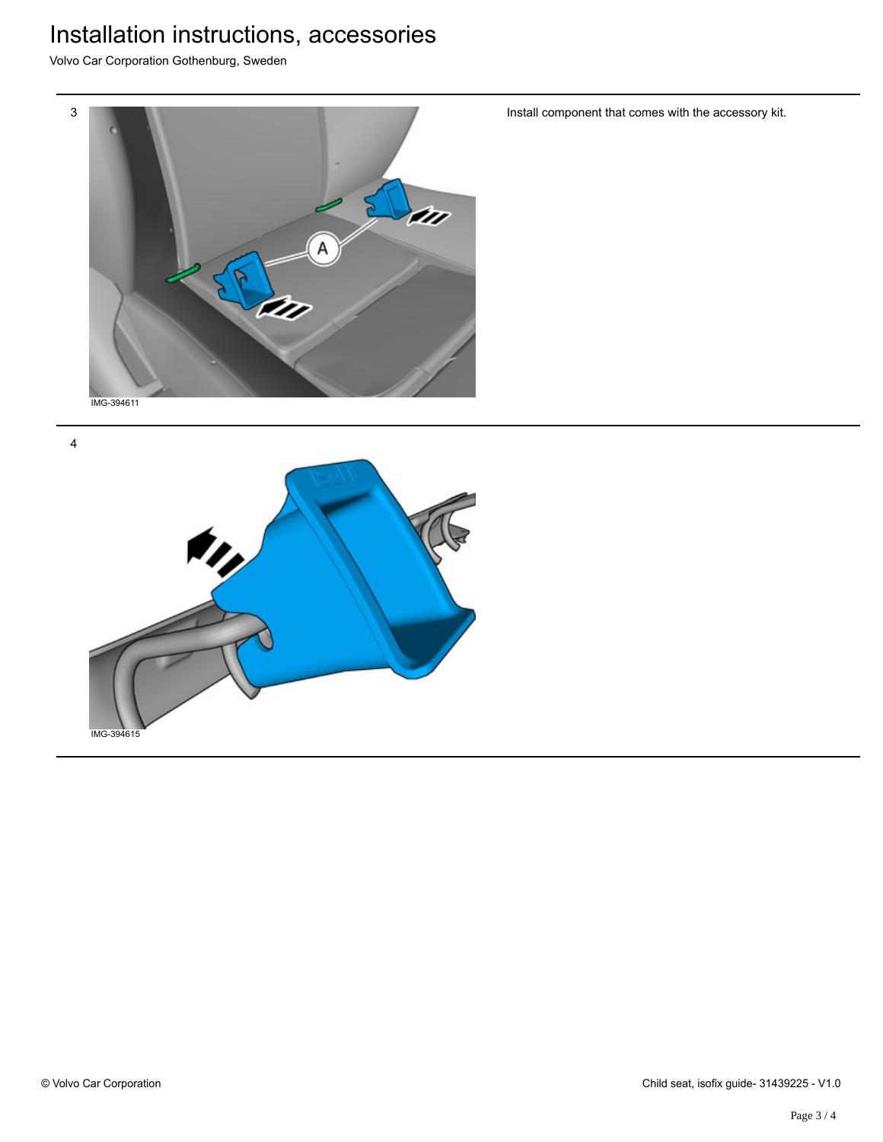### Installation instructions, accessories

Volvo Car Corporation Gothenburg, Sweden



IMG-394615

Install component that comes with the accessory kit.

4